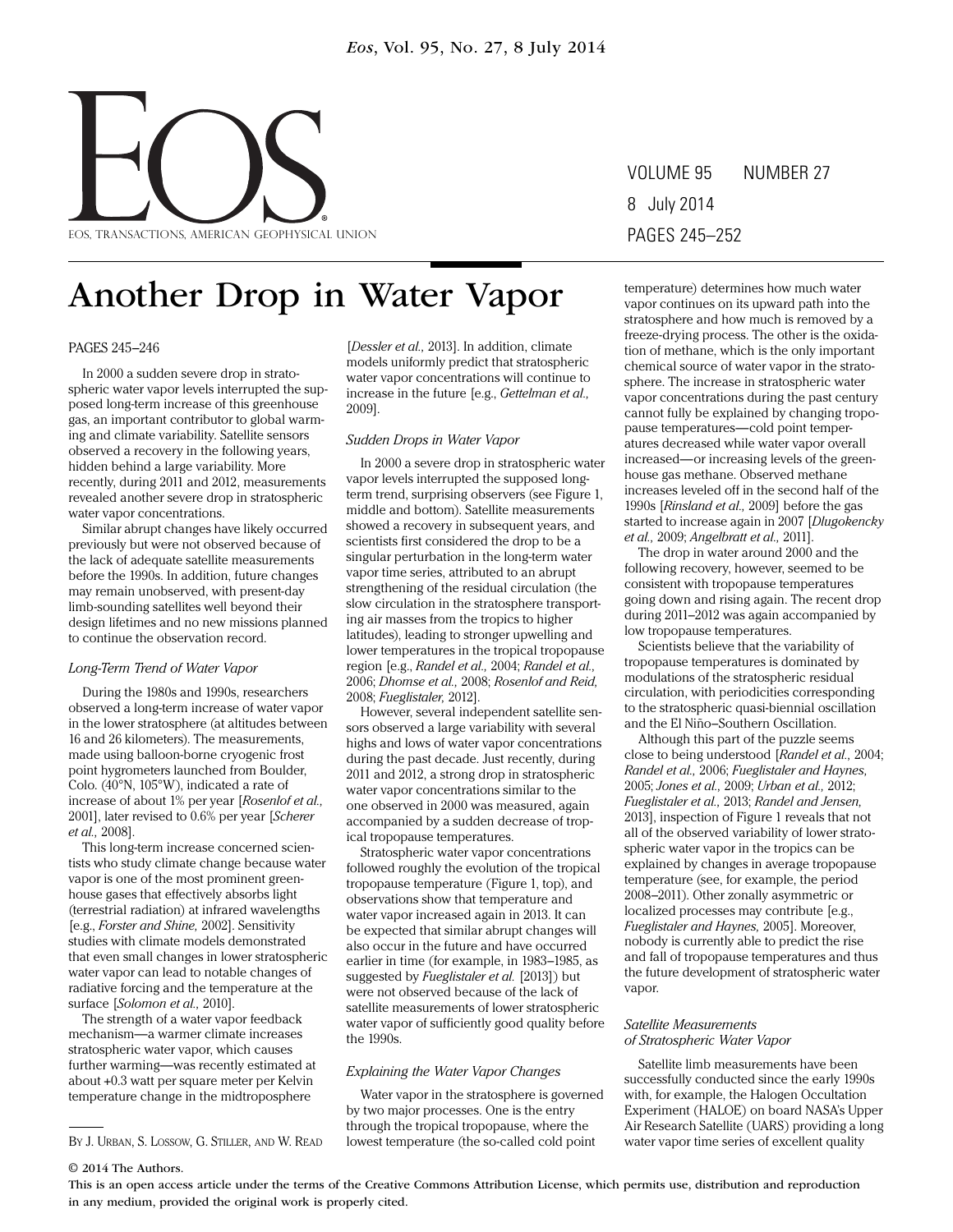

VOLUME 95 NUMBER 27 8 July 2014 PAGES 245–252

# Another Drop in Water Vapor

PAGES 245–246

In 2000 a sudden severe drop in stratospheric water vapor levels interrupted the supposed long-term increase of this greenhouse gas, an important contributor to global warming and climate variability. Satellite sensors observed a recovery in the following years, hidden behind a large variability. More recently, during 2011 and 2012, measurements revealed another severe drop in stratospheric water vapor concentrations.

Similar abrupt changes have likely occurred previously but were not observed because of the lack of adequate satellite measurements before the 1990s. In addition, future changes may remain unobserved, with present-day limb- sounding satellites well beyond their design lifetimes and no new missions planned to continue the observation record.

### *Long-Term Trend of Water Vapor*

During the 1980s and 1990s, researchers observed a long-term increase of water vapor in the lower stratosphere (at altitudes between 16 and 26 kilometers). The measurements, made using balloon- borne cryogenic frost point hygrometers launched from Boulder, Colo. (40°N, 105°W), indicated a rate of increase of about 1% per year [*Rosenlof et al.,* 2001], later revised to 0.6% per year [*Scherer et al.,* 2008].

This long-term increase concerned scientists who study climate change because water vapor is one of the most prominent greenhouse gases that effectively absorbs light (terrestrial radiation) at infrared wavelengths [e.g., *Forster and Shine,* 2002]. Sensitivity studies with climate models demonstrated that even small changes in lower stratospheric water vapor can lead to notable changes of radiative forcing and the temperature at the surface [*Solomon et al.,* 2010].

The strength of a water vapor feedback mechanism—a warmer climate increases stratospheric water vapor, which causes further warming—was recently estimated at about +0.3 watt per square meter per Kelvin temperature change in the midtroposphere

[*Dessler et al.,* 2013]. In addition, climate models uniformly predict that stratospheric water vapor concentrations will continue to increase in the future [e.g., *Gettelman et al.,* 2009].

#### *Sudden Drops in Water Vapor*

In 2000 a severe drop in stratospheric water vapor levels interrupted the supposed longterm trend, surprising observers (see Figure 1, middle and bottom). Satellite measurements showed a recovery in subsequent years, and scientists first considered the drop to be a singular perturbation in the long-term water vapor time series, attributed to an abrupt strengthening of the residual circulation (the slow circulation in the stratosphere transporting air masses from the tropics to higher latitudes), leading to stronger upwelling and lower temperatures in the tropical tropopause region [e.g., *Randel et al.,* 2004; *Randel et al.,* 2006; *Dhomse et al.,* 2008; *Rosenlof and Reid,* 2008; *Fueglistaler,* 2012].

However, several independent satellite sensors observed a large variability with several highs and lows of water vapor concentrations during the past decade. Just recently, during 2011 and 2012, a strong drop in stratospheric water vapor concentrations similar to the one observed in 2000 was measured, again accompanied by a sudden decrease of tropical tropopause temperatures.

Stratospheric water vapor concentrations followed roughly the evolution of the tropical tropopause temperature (Figure 1, top), and observations show that temperature and water vapor increased again in 2013. It can be expected that similar abrupt changes will also occur in the future and have occurred earlier in time (for example, in 1983–1985, as suggested by *Fueglistaler et al.* [2013]) but were not observed because of the lack of satellite measurements of lower stratospheric water vapor of sufficiently good quality before the 1990s.

#### *Explaining the Water Vapor Changes*

Water vapor in the stratosphere is governed by two major processes. One is the entry through the tropical tropopause, where the lowest temperature (the so-called cold point BY J. URBAN, S. LOSSOW, G. STILLER, AND W. READ lowest temperature (the so-called cold point water vapor time series of excellent quality

temperature) determines how much water vapor continues on its upward path into the stratosphere and how much is removed by a freeze- drying process. The other is the oxidation of methane, which is the only important chemical source of water vapor in the stratosphere. The increase in stratospheric water vapor concentrations during the past century cannot fully be explained by changing tropopause temperatures—cold point temperatures decreased while water vapor overall increased—or increasing levels of the greenhouse gas methane. Observed methane increases leveled off in the second half of the 1990s [*Rinsland et al.,* 2009] before the gas started to increase again in 2007 [*Dlugokencky et al.,* 2009; *Angelbratt et al.,* 2011].

The drop in water around 2000 and the following recovery, however, seemed to be consistent with tropopause temperatures going down and rising again. The recent drop during 2011–2012 was again accompanied by low tropopause temperatures.

Scientists believe that the variability of tropopause temperatures is dominated by modulations of the stratospheric residual circulation, with periodicities corresponding to the stratospheric quasi-biennial oscillation and the El Niño– Southern Oscillation.

Although this part of the puzzle seems close to being understood [*Randel et al.,* 2004; *Randel et al.,* 2006; *Fueglistaler and Haynes,* 2005; *Jones et al.,* 2009; *Urban et al.,* 2012; *Fueglistaler et al.,* 2013; *Randel and Jensen,* 2013], inspection of Figure 1 reveals that not all of the observed variability of lower stratospheric water vapor in the tropics can be explained by changes in average tropopause temperature (see, for example, the period 2008–2011). Other zonally asymmetric or localized processes may contribute [e.g., *Fueglistaler and Haynes,* 2005]. Moreover, nobody is currently able to predict the rise and fall of tropopause temperatures and thus the future development of stratospheric water vapor.

#### *Satellite Measurements of Stratospheric Water Vapor*

Satellite limb measurements have been successfully conducted since the early 1990s with, for example, the Halogen Occultation Experiment ( HALOE) on board NASA's Upper Air Research Satellite (UARS) providing a long

#### © 2014 The Authors.

This is an open access article under the terms of the Creative Commons Attribution License, which permits use, distribution and reproduction in any medium, provided the original work is properly cited.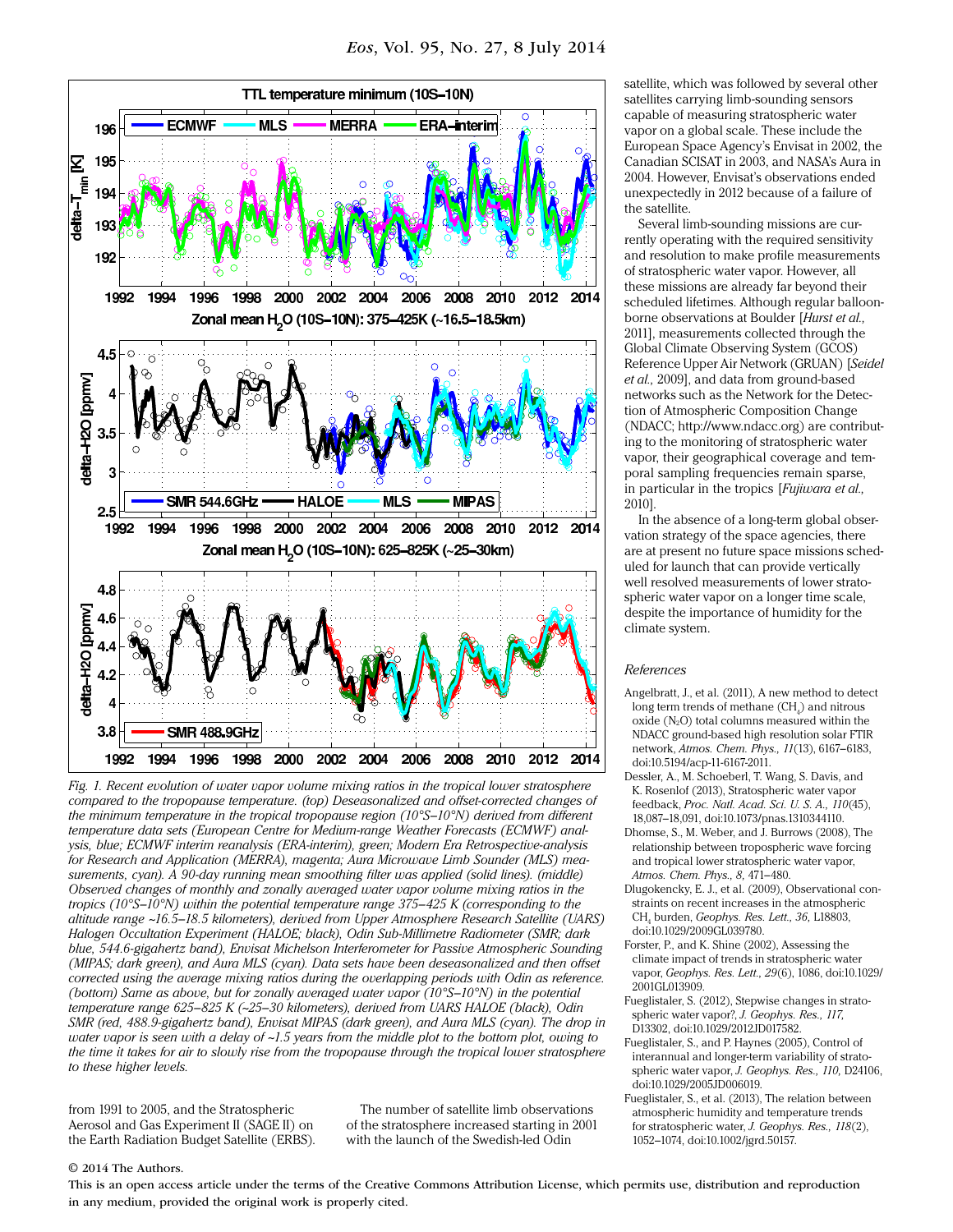

*Fig. 1. Recent evolution of water vapor volume mixing ratios in the tropical lower stratosphere compared to the tropopause temperature. (top) Deseasonalized and offset- corrected changes of the minimum temperature in the tropical tropopause region (10°S–10°N) derived from different*  temperature data sets (European Centre for Medium-range Weather Forecasts (ECMWF) anal*ysis, blue; ECMWF interim reanalysis ( ERA- interim), green; Modern Era Retrospective-analysis for Research and Application ( MERRA), magenta; Aura Microwave Limb Sounder (MLS) measurements, cyan). A 90-day running mean smoothing filter was applied (solid lines). (middle) Observed changes of monthly and zonally averaged water vapor volume mixing ratios in the tropics (10°S–10°N) within the potential temperature range 375–425 K (corresponding to the altitude range ~16.5–18.5 kilometers), derived from Upper Atmosphere Research Satellite (UARS) Halogen Occultation Experiment ( HALOE; black), Odin Sub-Millimetre Radiometer (SMR; dark blue, 544.6- gigahertz band), Envisat Michelson Interferometer for Passive Atmospheric Sounding ( MIPAS; dark green), and Aura MLS (cyan). Data sets have been deseasonalized and then offset corrected using the average mixing ratios during the overlapping periods with Odin as reference. (bottom) Same as above, but for zonally averaged water vapor (10°S–10°N) in the potential temperature range 625–825 K (~25–30 kilometers), derived from UARS HALOE (black), Odin SMR (red, 488.9-gigahertz band), Envisat MIPAS (dark green), and Aura MLS (cyan). The drop in water vapor is seen with a delay of ~1.5 years from the middle plot to the bottom plot, owing to the time it takes for air to slowly rise from the tropopause through the tropical lower stratosphere to these higher levels.*

from 1991 to 2005, and the Stratospheric Aerosol and Gas Experiment II (SAGE II) on the Earth Radiation Budget Satellite (ERBS).

The number of satellite limb observations of the stratosphere increased starting in 2001 with the launch of the Swedish-led Odin

satellite, which was followed by several other satellites carrying limb-sounding sensors capable of measuring stratospheric water vapor on a global scale. These include the European Space Agency's Envisat in 2002, the Canadian SCISAT in 2003, and NASA's Aura in 2004. However, Envisat's observations ended unexpectedly in 2012 because of a failure of the satellite.

Several limb-sounding missions are currently operating with the required sensitivity and resolution to make profile measurements of stratospheric water vapor. However, all these missions are already far beyond their scheduled lifetimes. Although regular balloonborne observations at Boulder [*Hurst et al.,* 2011], measurements collected through the Global Climate Observing System (GCOS) Reference Upper Air Network ( GRUAN) [*Seidel*  et al., 2009], and data from ground-based networks such as the Network for the Detection of Atmospheric Composition Change (NDACC; [http://www . ndacc .org\)](http://www.ndacc.org) are contributing to the monitoring of stratospheric water vapor, their geographical coverage and temporal sampling frequencies remain sparse, in particular in the tropics [*Fujiwara et al.,* 2010].

In the absence of a long-term global observation strategy of the space agencies, there are at present no future space missions scheduled for launch that can provide vertically well resolved measurements of lower stratospheric water vapor on a longer time scale, despite the importance of humidity for the climate system.

#### *References*

- Angelbratt, J., et al. (2011), A new method to detect long term trends of methane  $(\mathrm{CH}_4^{})$  and nitrous oxide (N2O) total columns measured within the NDACC ground-based high resolution solar FTIR network, *Atmos. Chem. Phys., 11*(13), 6167–6183, doi:10.5194/acp-11-6167-2011.
- Dessler, A., M. Schoeberl, T. Wang, S. Davis, and K. Rosenlof (2013), Stratospheric water vapor feedback, *Proc. Natl. Acad. Sci. U. S. A., 110*(45), 18,087-18,091, doi:10.1073/pnas.1310344110.
- Dhomse, S., M. Weber, and J. Burrows (2008), The relationship between tropospheric wave forcing and tropical lower stratospheric water vapor, *Atmos. Chem. Phys., 8,* 471–480.
- Dlugokencky, E. J., et al. (2009), Observational constraints on recent increases in the atmospheric CH4 burden, *Geophys. Res. Lett., 36,* L18803, doi:10.1029/2009GL039780.
- Forster, P., and K. Shine (2002), Assessing the climate impact of trends in stratospheric water vapor, *Geophys. Res. Lett., 29*(6), 1086, doi:10.1029/ 2001GL013909.
- Fueglistaler, S. (2012), Stepwise changes in stratospheric water vapor?, *J. Geophys. Res., 117,* D13302, doi:10.1029/2012JD017582.
- Fueglistaler, S., and P. Haynes (2005), Control of interannual and longer-term variability of stratospheric water vapor, *J. Geophys. Res., 110,* D24106, doi:10.1029/2005JD006019.
- Fueglistaler, S., et al. (2013), The relation between atmospheric humidity and temperature trends for stratospheric water, *J. Geophys. Res., 118*(2), 1052–1074, doi:10.1002/jgrd.50157.

#### © 2014 The Authors.

This is an open access article under the terms of the Creative Commons Attribution License, which permits use, distribution and reproduction in any medium, provided the original work is properly cited.